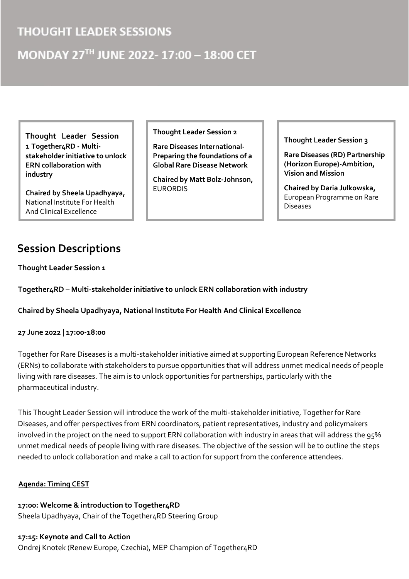## **THOUGHT LEADER SESSIONS**

# MONDAY 27TH JUNE 2022-17:00 - 18:00 CET

**Thought Leader Session 1 Together4RD - Multistakeholder initiative to unlock ERN collaboration with industry** 

**Chaired by Sheela Upadhyaya,**  National Institute For Health And Clinical Excellence

# **Session Descriptions**

**Thought Leader Session 1**

**Together4RD – Multi-stakeholder initiative to unlock ERN collaboration with industry** 

**Chaired by Sheela Upadhyaya, National Institute For Health And Clinical Excellence** 

#### **27 June 2022 | 17:00-18:00**

Together for Rare Diseases is a multi-stakeholder initiative aimed at supporting European Reference Networks (ERNs) to collaborate with stakeholders to pursue opportunities that will address unmet medical needs of people living with rare diseases. The aim is to unlock opportunities for partnerships, particularly with the pharmaceutical industry.

This Thought Leader Session will introduce the work of the multi-stakeholder initiative, Together for Rare Diseases, and offer perspectives from ERN coordinators, patient representatives, industry and policymakers involved in the project on the need to support ERN collaboration with industry in areas that will address the 95% unmet medical needs of people living with rare diseases. The objective of the session will be to outline the steps needed to unlock collaboration and make a call to action for support from the conference attendees.

#### **Agenda: Timing CEST**

**17:00: Welcome & introduction to Together4RD**  Sheela Upadhyaya, Chair of the Together4RD Steering Group

**17:15: Keynote and Call to Action**  Ondrej Knotek (Renew Europe, Czechia), MEP Champion of Together4RD

**Thought Leader Session 2** 

**Rare Diseases International-Preparing the foundations of a Global Rare Disease Network** 

**Chaired by Matt Bolz-Johnson,**  EURORDIS

**Thought Leader Session 3** 

**Rare Diseases (RD) Partnership (Horizon Europe)-Ambition, Vision and Mission** 

**Chaired by Daria Julkowska,**  European Programme on Rare Diseases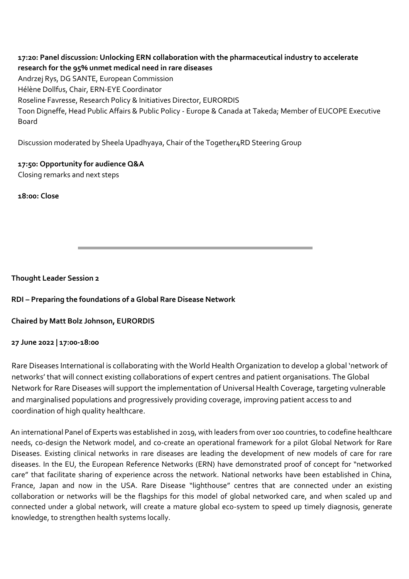**17:20: Panel discussion: Unlocking ERN collaboration with the pharmaceutical industry to accelerate research for the 95% unmet medical need in rare diseases**  Andrzej Rys, DG SANTE, European Commission Hélène Dollfus, Chair, ERN-EYE Coordinator Roseline Favresse, Research Policy & Initiatives Director, EURORDIS Toon Digneffe, Head Public Affairs & Public Policy - Europe & Canada at Takeda; Member of EUCOPE Executive Board

Discussion moderated by Sheela Upadhyaya, Chair of the Together4RD Steering Group

**17:50: Opportunity for audience Q&A** 

Closing remarks and next steps

**18:00: Close** 

**Thought Leader Session 2**

**RDI – Preparing the foundations of a Global Rare Disease Network** 

**Chaired by Matt Bolz Johnson, EURORDIS** 

#### **27 June 2022 | 17:00-18:00**

Rare Diseases International is collaborating with the World Health Organization to develop a global 'network of networks' that will connect existing collaborations of expert centres and patient organisations. The Global Network for Rare Diseases will support the implementation of Universal Health Coverage, targeting vulnerable and marginalised populations and progressively providing coverage, improving patient access to and coordination of high quality healthcare.

An international Panel of Experts was established in 2019, with leaders from over 100 countries, to codefine healthcare needs, co-design the Network model, and co-create an operational framework for a pilot Global Network for Rare Diseases. Existing clinical networks in rare diseases are leading the development of new models of care for rare diseases. In the EU, the European Reference Networks (ERN) have demonstrated proof of concept for "networked care" that facilitate sharing of experience across the network. National networks have been established in China, France, Japan and now in the USA. Rare Disease "lighthouse" centres that are connected under an existing collaboration or networks will be the flagships for this model of global networked care, and when scaled up and connected under a global network, will create a mature global eco-system to speed up timely diagnosis, generate knowledge, to strengthen health systems locally.